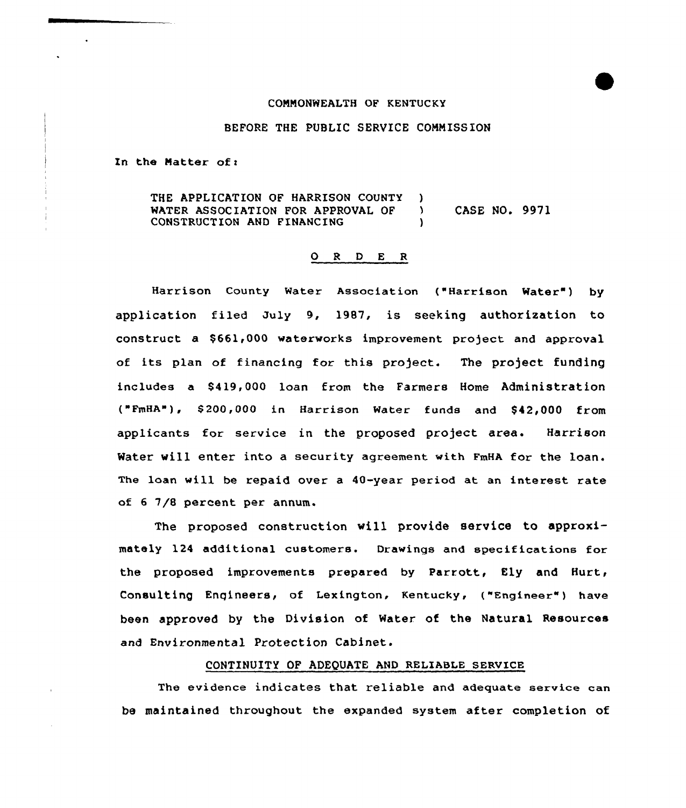#### CONNONWEALTH OF KENTUCKY

### BEFORE THE PUBLIC SERVICE COMM ISSION

In the Matter of:

 $\ddot{\phantom{0}}$ 

THE APPLICATION OF HARRISON COUNTY )<br>WATER ASSOCIATION FOR APPROVAL OF ) WATER ASSOCIATION FOR APPROVAL OF ) CASE NO. 9971 CONSTRUCTION AND FINANCING

## 0 <sup>R</sup> <sup>D</sup> E <sup>R</sup>

Harrison County Water Association ("Harrison Mater') by application filed July 9, 1987, is seeking authorization to construct a \$661,000 waterworks improvement project and approval of its plan of financing for this project. The project funding includes a \$419,000 loan from the Farmers Home Administration ("FmHA"), \$200,000 in Harrison Water funds and \$42,000 from applicants for service in the proposed project area. Harrison Water will enter into a security agreement with FmHA for the loan. The loan will be repaid over a 40-year period at an interest rate of 6 7/8 percent per annum.

The proposed construction will provide service to approximately 124 additional customers. Drawings and specifications for the proposed improvements prepared by Parrott, Ely and Hurt, Consulting Engineers, of Lexington, Kentucky, ("Engineer") have been approved by the Division of Water of the Natural Resources and Environmental Protection Cabinet.

# CONTINUITX OF ADEQUATE AND RELIABLE SERVICE

The evidence indicates that reliable and adequate service can be maintained throughout the expanded system after completion of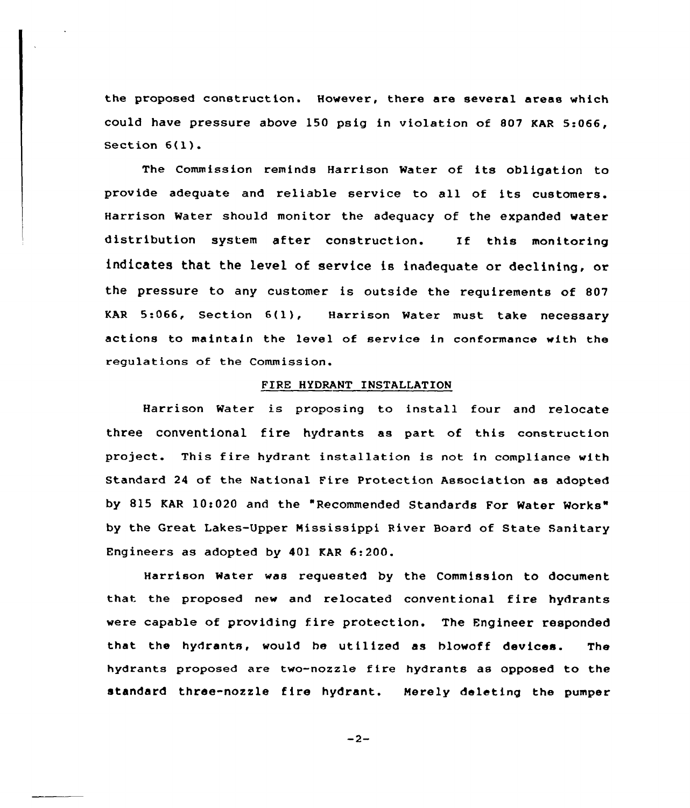the proposed construction. However, there are several areas which could have pressure above 150 psig in violation of 807 KAR 5:066, Section 6(l).

The Commission reminds Harrison Water of its obligation to provide adequate and reliable service to all of its customers. Harrison Water should monitor the adequacy of the expanded water distribution system after construction. If this monitoring indicates that the level of service is inadequate or declining, or the pressure to any customer is outside the requirements of 807 KAR 5:066, Section 6(l), Harrison Water must take necessary actions to maintain the level of service in conformance with the regulations of the Commission.

#### FIRE HYDRANT INSTALLATION

Harrison Water is proposing to install four and relocate three conventional fire hydrants as part of this construction project. This fire hydrant installation is not in compliance with Standard 24 of the National Fire Protection Association as adopted by 815 KAR 10:020 and the "Recommended Standards For Water Works" by the Great Lakes-Upper Mississippi River Board of State Sanitary Engineers as adopted by 401 KAR 6:200.

Harrison Water was requested by the Commission to document that the proposed new and relocated conventional fire hydrants were capable of providing fire protection. The Engineer responded that the hydrants, would he utilized as hlowoff devices. The hydrants proposed are two-nozzle fire hydrants as opposed to the standard three-nozzle fire hydrant. Merely deleting the pumper

 $-2-$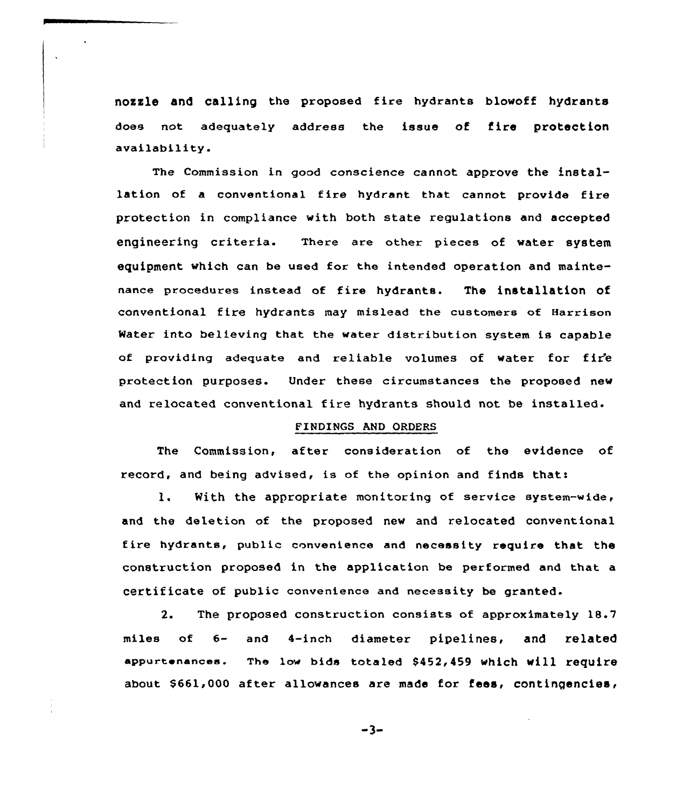nozzle and calling the proposed fire hydrants blowoff hydrants does not adequately address the issue of fire protection availability.

The Commission in good conscience cannot approve the installation of a conventional fire hydrant that cannot provide fire protection in compliance with both state regulations and accepted engineering criteria. There are other pieces of water system equipment which can be used for the intended operation and maintenance procedures instead of fire hydrants. The installation of conventional fire hydrants may mislead the customers of Harrison Water into believing that the water distribution system is capable of providing adequate and reliable volumes of water for fir'e protection purposes. Under these circumstances the proposed new and relocated conventional fire hydrants should not be installed.

# FENDENGS AND ORDERS

The Commission, after consideration of the evidence of record, and being advised, is of the opinion and finds thatt,

l. With the appropriate monitoring of service system-wide, and the deletion of the proposed new and relocated conventional fire hydrants, public convenience and necessity require that the construction proposed in the application be performed and that a certificate of public convenience and necessity be granted.

2. The proposed construction consists of approximately 18.7 miles of  $6-$  and  $4-$ inch diameter pipeline<mark>s, and relate</mark> appurtenances. The low bids totaled \$452,459 which will require about \$661,000 after allowances are made for fees, contingencies,

$$
-3-
$$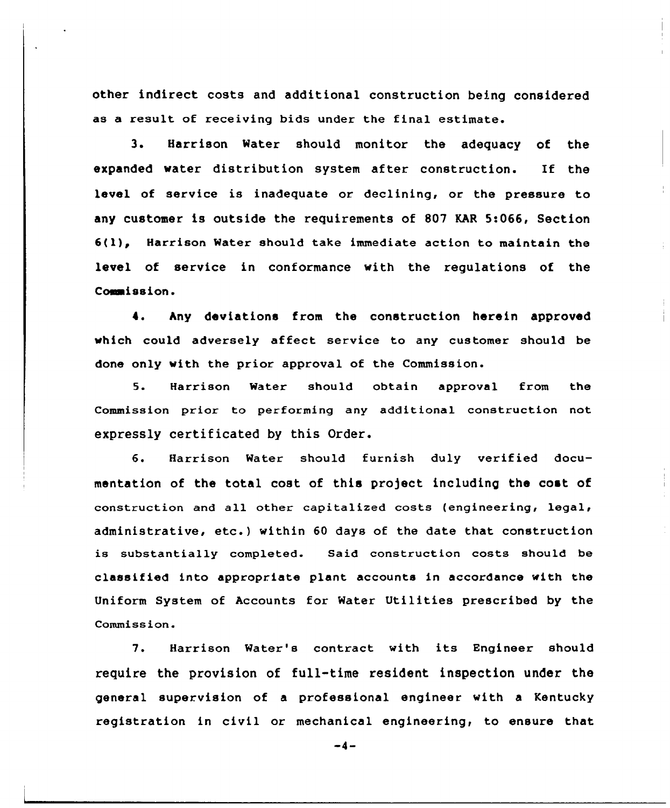other indirect costs and additional construction being considered as a result of receiving bids under the final estimate.

3. Harrison Water should monitor the adequacy of the expanded water distribution system after construction. If the level of service is inadequate or declining, or the pressure to any customer is outside the requirements of 807 KAR 5:066, Section  $6(1)$ , Harrison Water should take immediate action to maintain the level of service in conformance with the regulations of the Commission.

4. hny deviations from the construction herein approved which could adversely affect service to any customer should be done only with the prior approval of the Commission.

5. Harrison Water should obtain approval from the Commission prior to performing any additional construction not expressly certificated by this Order.

6. Harrison Water should furnish duly verified documentation of the total cost of this project including the cost of construction and all other capitalized costs (engineering, legal, administrative, etc.) within <sup>60</sup> days of the date that construction is substantially completed. Said construction costs should be classified into appropriate plant accounts in accordance with the Uniform System of Accounts for Water Utilities prescribed by the Commission.

7. Harrison Water's contract with its Engineer should require the provision of full-time resident inspection under the general supervision of a professional engineer with a Kentucky registration in civil or mechanical engineering, to ensure that

 $-4-$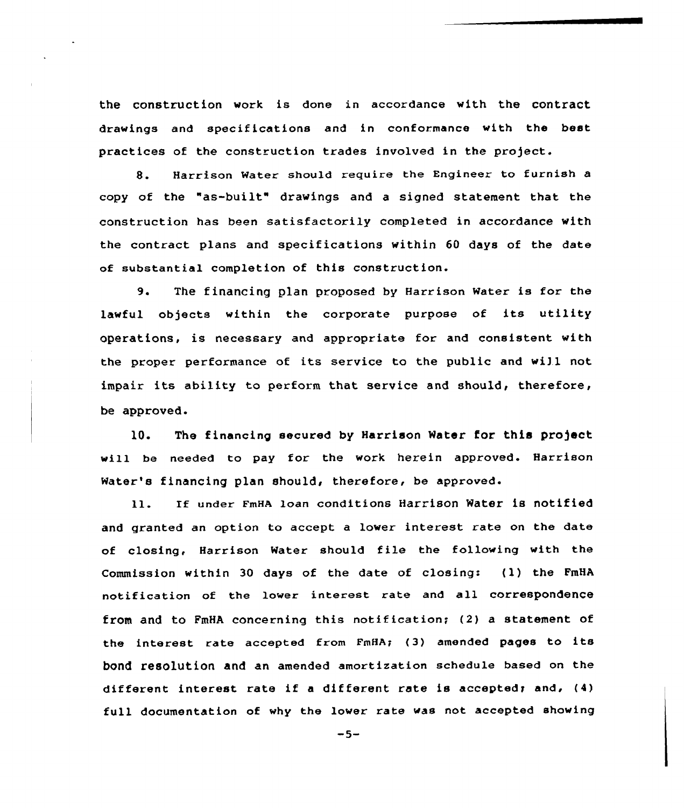the construction work is done in accordance with the contract drawings and specifications and in conformance with the best practices of the construction trades involved in the project.

8. Harrison Water should require the Engineer to furnish <sup>a</sup> copy of the "as-built" drawings and a signed statement that the construction has been satisfactorily completed in accordance with the contract plans and specifications within 60 days of the date of substantial completion of this construction.

9. The financing plan proposed by Harrison water is for the lawful objects within the corporate purpose of its utility operations, is necessary and appropriate for and consistent with the proper performance of its service to the public and will not impair its ability to perform that service and should, therefore, be approved.

1Q. The financing secured by Harrison Water for this projact will be needed to pay for the work herein approved. Harrison Water's financing plan should, therefore, be approved.

ll. If under FmHA loan conditions Harrison water is notified and granted an option to accept a lower interest rate on the date of closing, Harrison Water should file the following with the Commission within 30 days of the date of closing: (1) the FmHA notification of the lower interest rate and all correspondence from and to FmHA concerning this notification; (2} a statement of the interest rate accepted from FmHA; (3) amended pages to its bond resolution and an amended amortization schedule based on the different interest rate if <sup>a</sup> different rate is acceptedr and, (4) full documentation of why the lower rate was not accepted showing

 $-5-$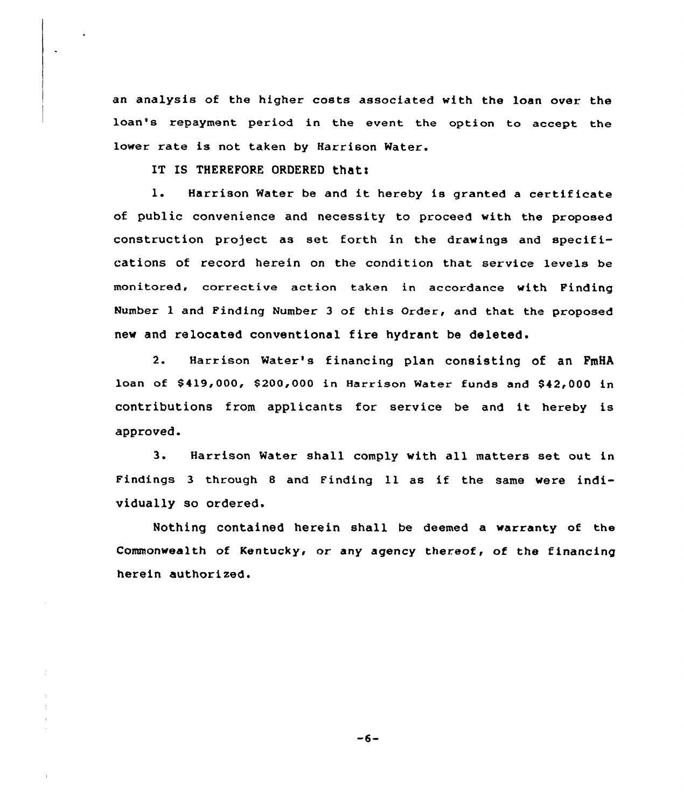an analysis of the higher costs associated with the loan over the loan's repayment period in the event the option to accept the lower rate is not taken by Harrison Water.

IT IS THEREFORE ORDERED thati

l. Harrison Water be and it hereby is granted <sup>a</sup> certificate of public convenience and necessity to proceed with the proposed construction project as set forth in the drawings and specifications of record herein on the condition that service levels be monitored, corrective action taken in accordance with Pinding Number 1 and Finding Number 3 of this Order, and that the proposed new and relocated conventional fire hydrant be deleted.

Harrison Water's financing plan consisting of an FmHA  $2.$ loan of \$419,000, \$200,000 in Harrison Water funds and \$42,000 in contributions from applicants for service be and it hereby is approved.

3. Harrison Water shall comply with all matters set out in Findings <sup>3</sup> through <sup>8</sup> and Finding ll as if the same were individually so ordered.

Nothing contained herein shall be deemed a warranty of the Commonwealth of Kentucky< or any agency thereof, of the financing herein authorized.

 $-6-$